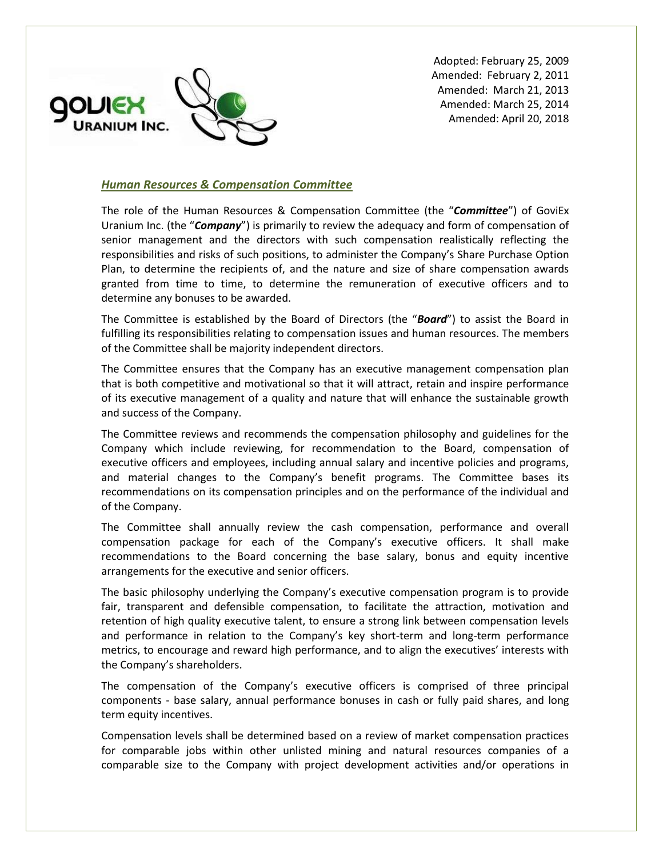

Adopted: February 25, 2009 Amended: February 2, 2011 Amended: March 21, 2013 Amended: March 25, 2014 Amended: April 20, 2018

## *Human Resources & Compensation Committee*

The role of the Human Resources & Compensation Committee (the "*Committee*") of GoviEx Uranium Inc. (the "*Company*") is primarily to review the adequacy and form of compensation of senior management and the directors with such compensation realistically reflecting the responsibilities and risks of such positions, to administer the Company's Share Purchase Option Plan, to determine the recipients of, and the nature and size of share compensation awards granted from time to time, to determine the remuneration of executive officers and to determine any bonuses to be awarded.

The Committee is established by the Board of Directors (the "*Board*") to assist the Board in fulfilling its responsibilities relating to compensation issues and human resources. The members of the Committee shall be majority independent directors.

The Committee ensures that the Company has an executive management compensation plan that is both competitive and motivational so that it will attract, retain and inspire performance of its executive management of a quality and nature that will enhance the sustainable growth and success of the Company.

The Committee reviews and recommends the compensation philosophy and guidelines for the Company which include reviewing, for recommendation to the Board, compensation of executive officers and employees, including annual salary and incentive policies and programs, and material changes to the Company's benefit programs. The Committee bases its recommendations on its compensation principles and on the performance of the individual and of the Company.

The Committee shall annually review the cash compensation, performance and overall compensation package for each of the Company's executive officers. It shall make recommendations to the Board concerning the base salary, bonus and equity incentive arrangements for the executive and senior officers.

The basic philosophy underlying the Company's executive compensation program is to provide fair, transparent and defensible compensation, to facilitate the attraction, motivation and retention of high quality executive talent, to ensure a strong link between compensation levels and performance in relation to the Company's key short-term and long-term performance metrics, to encourage and reward high performance, and to align the executives' interests with the Company's shareholders.

The compensation of the Company's executive officers is comprised of three principal components - base salary, annual performance bonuses in cash or fully paid shares, and long term equity incentives.

Compensation levels shall be determined based on a review of market compensation practices for comparable jobs within other unlisted mining and natural resources companies of a comparable size to the Company with project development activities and/or operations in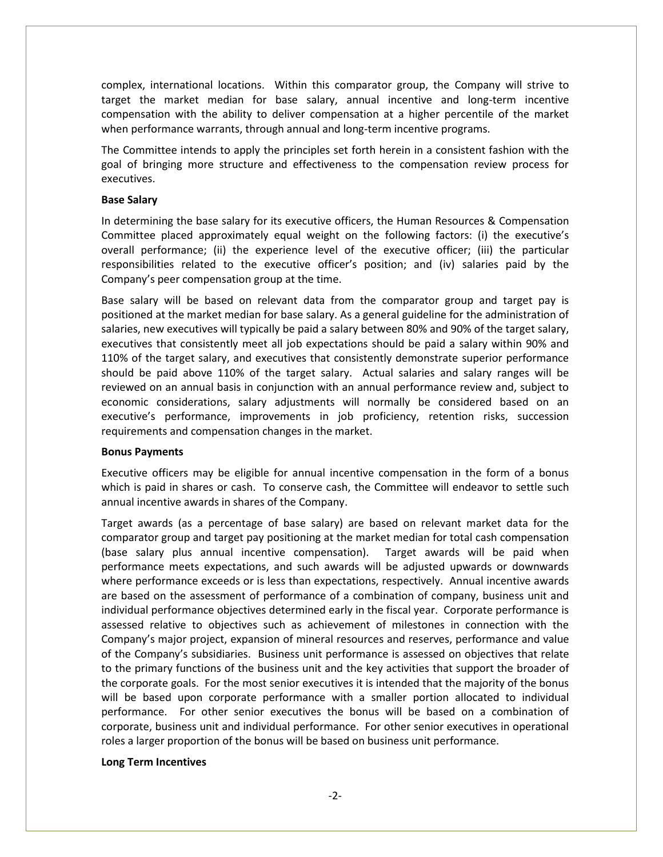complex, international locations. Within this comparator group, the Company will strive to target the market median for base salary, annual incentive and long-term incentive compensation with the ability to deliver compensation at a higher percentile of the market when performance warrants, through annual and long-term incentive programs.

The Committee intends to apply the principles set forth herein in a consistent fashion with the goal of bringing more structure and effectiveness to the compensation review process for executives.

### **Base Salary**

In determining the base salary for its executive officers, the Human Resources & Compensation Committee placed approximately equal weight on the following factors: (i) the executive's overall performance; (ii) the experience level of the executive officer; (iii) the particular responsibilities related to the executive officer's position; and (iv) salaries paid by the Company's peer compensation group at the time.

Base salary will be based on relevant data from the comparator group and target pay is positioned at the market median for base salary. As a general guideline for the administration of salaries, new executives will typically be paid a salary between 80% and 90% of the target salary, executives that consistently meet all job expectations should be paid a salary within 90% and 110% of the target salary, and executives that consistently demonstrate superior performance should be paid above 110% of the target salary. Actual salaries and salary ranges will be reviewed on an annual basis in conjunction with an annual performance review and, subject to economic considerations, salary adjustments will normally be considered based on an executive's performance, improvements in job proficiency, retention risks, succession requirements and compensation changes in the market.

### **Bonus Payments**

Executive officers may be eligible for annual incentive compensation in the form of a bonus which is paid in shares or cash. To conserve cash, the Committee will endeavor to settle such annual incentive awards in shares of the Company.

Target awards (as a percentage of base salary) are based on relevant market data for the comparator group and target pay positioning at the market median for total cash compensation (base salary plus annual incentive compensation). Target awards will be paid when performance meets expectations, and such awards will be adjusted upwards or downwards where performance exceeds or is less than expectations, respectively. Annual incentive awards are based on the assessment of performance of a combination of company, business unit and individual performance objectives determined early in the fiscal year. Corporate performance is assessed relative to objectives such as achievement of milestones in connection with the Company's major project, expansion of mineral resources and reserves, performance and value of the Company's subsidiaries. Business unit performance is assessed on objectives that relate to the primary functions of the business unit and the key activities that support the broader of the corporate goals. For the most senior executives it is intended that the majority of the bonus will be based upon corporate performance with a smaller portion allocated to individual performance. For other senior executives the bonus will be based on a combination of corporate, business unit and individual performance. For other senior executives in operational roles a larger proportion of the bonus will be based on business unit performance.

#### **Long Term Incentives**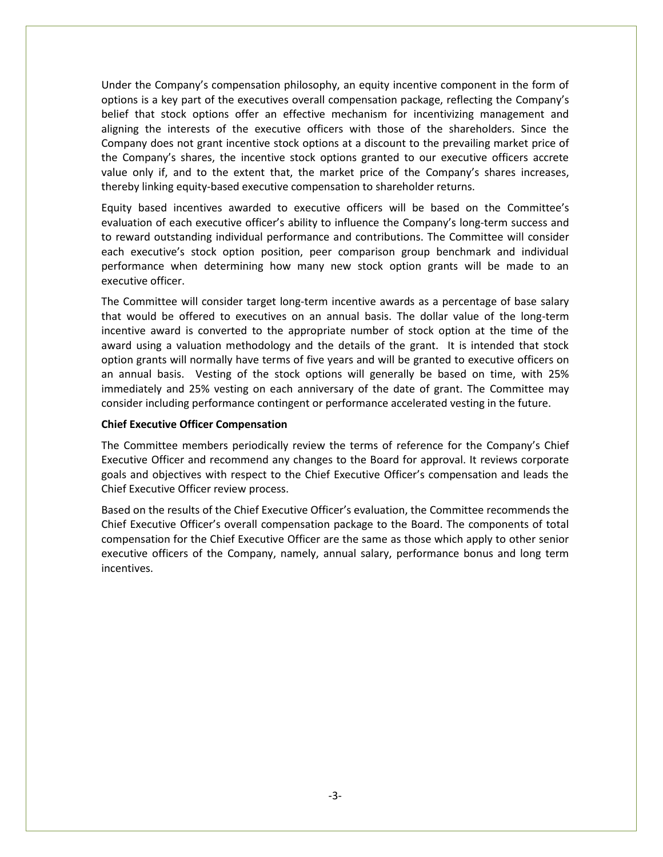Under the Company's compensation philosophy, an equity incentive component in the form of options is a key part of the executives overall compensation package, reflecting the Company's belief that stock options offer an effective mechanism for incentivizing management and aligning the interests of the executive officers with those of the shareholders. Since the Company does not grant incentive stock options at a discount to the prevailing market price of the Company's shares, the incentive stock options granted to our executive officers accrete value only if, and to the extent that, the market price of the Company's shares increases, thereby linking equity-based executive compensation to shareholder returns.

Equity based incentives awarded to executive officers will be based on the Committee's evaluation of each executive officer's ability to influence the Company's long-term success and to reward outstanding individual performance and contributions. The Committee will consider each executive's stock option position, peer comparison group benchmark and individual performance when determining how many new stock option grants will be made to an executive officer.

The Committee will consider target long-term incentive awards as a percentage of base salary that would be offered to executives on an annual basis. The dollar value of the long-term incentive award is converted to the appropriate number of stock option at the time of the award using a valuation methodology and the details of the grant. It is intended that stock option grants will normally have terms of five years and will be granted to executive officers on an annual basis. Vesting of the stock options will generally be based on time, with 25% immediately and 25% vesting on each anniversary of the date of grant. The Committee may consider including performance contingent or performance accelerated vesting in the future.

#### **Chief Executive Officer Compensation**

The Committee members periodically review the terms of reference for the Company's Chief Executive Officer and recommend any changes to the Board for approval. It reviews corporate goals and objectives with respect to the Chief Executive Officer's compensation and leads the Chief Executive Officer review process.

Based on the results of the Chief Executive Officer's evaluation, the Committee recommends the Chief Executive Officer's overall compensation package to the Board. The components of total compensation for the Chief Executive Officer are the same as those which apply to other senior executive officers of the Company, namely, annual salary, performance bonus and long term incentives.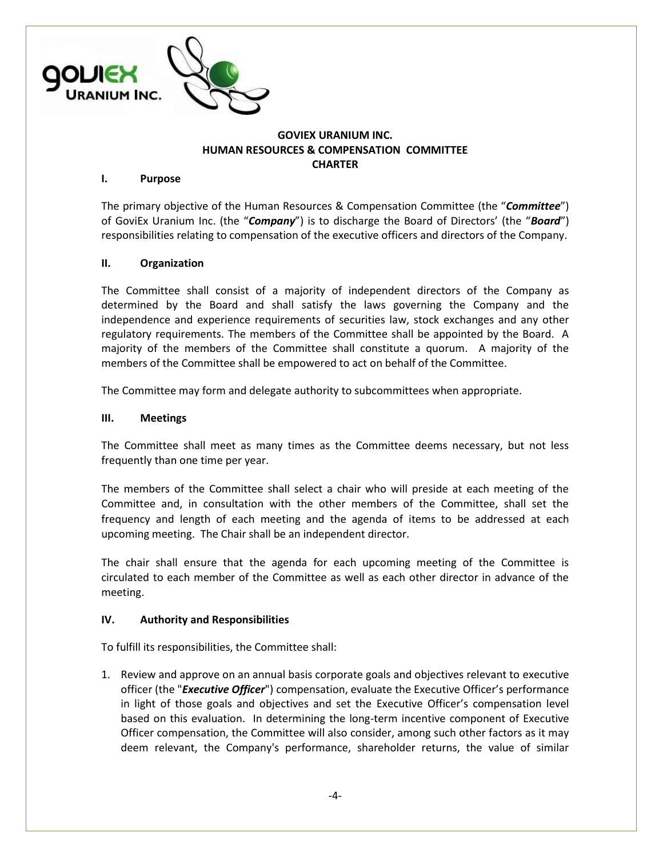

# **GOVIEX URANIUM INC. HUMAN RESOURCES & COMPENSATION COMMITTEE CHARTER**

## **I. Purpose**

The primary objective of the Human Resources & Compensation Committee (the "*Committee*") of GoviEx Uranium Inc. (the "*Company*") is to discharge the Board of Directors' (the "*Board*") responsibilities relating to compensation of the executive officers and directors of the Company.

# **II. Organization**

The Committee shall consist of a majority of independent directors of the Company as determined by the Board and shall satisfy the laws governing the Company and the independence and experience requirements of securities law, stock exchanges and any other regulatory requirements. The members of the Committee shall be appointed by the Board. A majority of the members of the Committee shall constitute a quorum. A majority of the members of the Committee shall be empowered to act on behalf of the Committee.

The Committee may form and delegate authority to subcommittees when appropriate.

## **III. Meetings**

The Committee shall meet as many times as the Committee deems necessary, but not less frequently than one time per year.

The members of the Committee shall select a chair who will preside at each meeting of the Committee and, in consultation with the other members of the Committee, shall set the frequency and length of each meeting and the agenda of items to be addressed at each upcoming meeting. The Chair shall be an independent director.

The chair shall ensure that the agenda for each upcoming meeting of the Committee is circulated to each member of the Committee as well as each other director in advance of the meeting.

### **IV. Authority and Responsibilities**

To fulfill its responsibilities, the Committee shall:

1. Review and approve on an annual basis corporate goals and objectives relevant to executive officer (the "*Executive Officer*") compensation, evaluate the Executive Officer's performance in light of those goals and objectives and set the Executive Officer's compensation level based on this evaluation. In determining the long-term incentive component of Executive Officer compensation, the Committee will also consider, among such other factors as it may deem relevant, the Company's performance, shareholder returns, the value of similar